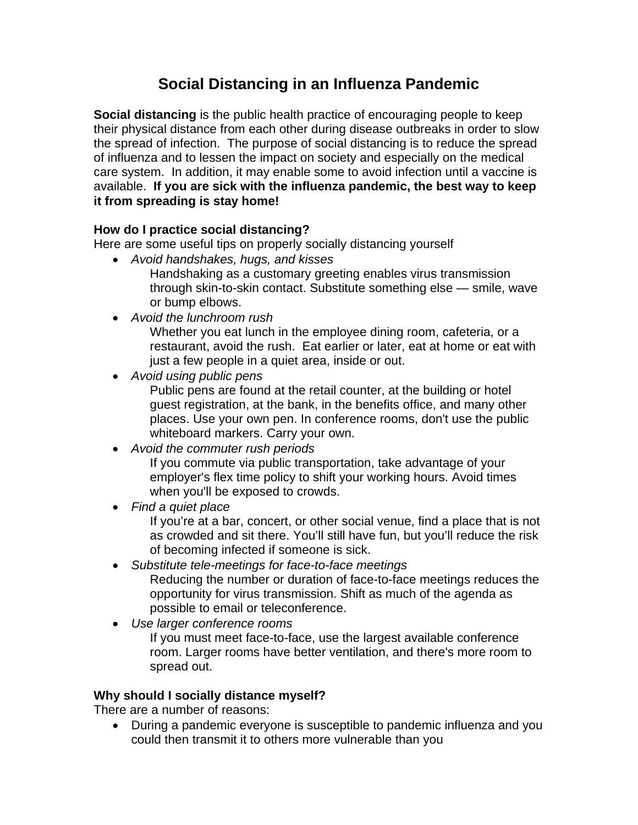# **Social Distancing in an Influenza Pandemic**

**Social distancing** is the public health practice of encouraging people to keep their physical distance from each other during disease outbreaks in order to slow the spread of infection. The purpose of social distancing is to reduce the spread of influenza and to lessen the impact on society and especially on the medical care system. In addition, it may enable some to avoid infection until a vaccine is available. **If you are sick with the influenza pandemic, the best way to keep it from spreading is stay home!**

## **How do I practice social distancing?**

Here are some useful tips on properly socially distancing yourself

*Avoid handshakes, hugs, and kisses* 

Handshaking as a customary greeting enables virus transmission through skin-to-skin contact. Substitute something else — smile, wave or bump elbows.

*Avoid the lunchroom rush* 

Whether you eat lunch in the employee dining room, cafeteria, or a restaurant, avoid the rush. Eat earlier or later, eat at home or eat with just a few people in a quiet area, inside or out.

*Avoid using public pens* 

Public pens are found at the retail counter, at the building or hotel guest registration, at the bank, in the benefits office, and many other places. Use your own pen. In conference rooms, don't use the public whiteboard markers. Carry your own.

*Avoid the commuter rush periods* 

If you commute via public transportation, take advantage of your employer's flex time policy to shift your working hours. Avoid times when you'll be exposed to crowds.

*Find a quiet place*

If you're at a bar, concert, or other social venue, find a place that is not as crowded and sit there. You'll still have fun, but you'll reduce the risk of becoming infected if someone is sick.

- *Substitute tele-meetings for face-to-face meetings*  Reducing the number or duration of face-to-face meetings reduces the opportunity for virus transmission. Shift as much of the agenda as possible to email or teleconference.
- *Use larger conference rooms*  If you must meet face-to-face, use the largest available conference room. Larger rooms have better ventilation, and there's more room to spread out.

### **Why should I socially distance myself?**

There are a number of reasons:

 During a pandemic everyone is susceptible to pandemic influenza and you could then transmit it to others more vulnerable than you